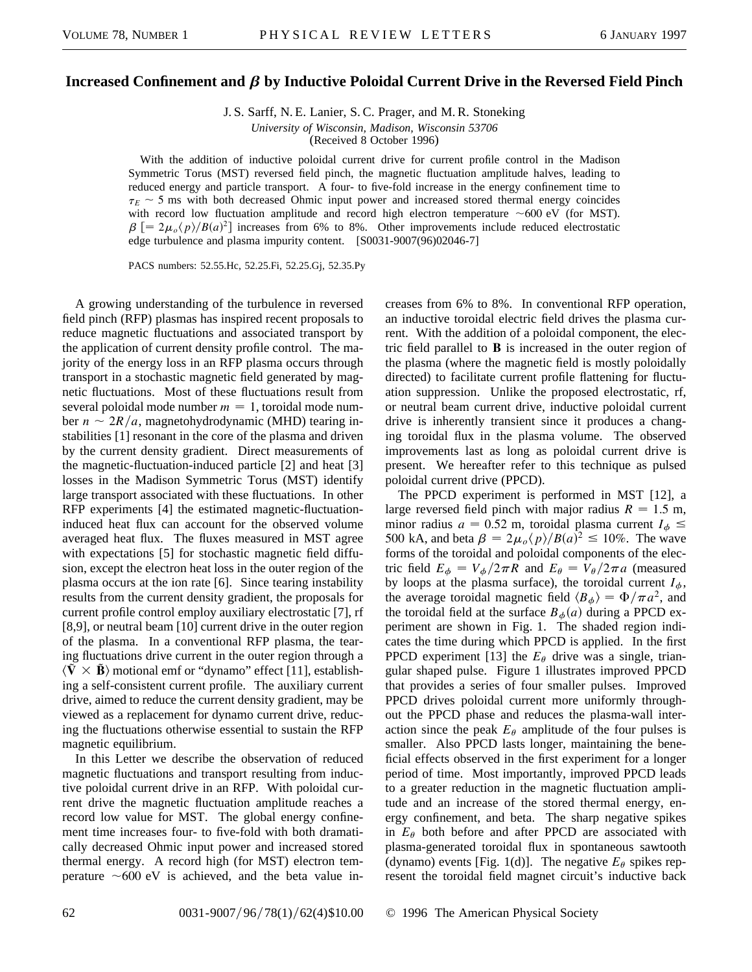## **Increased Confinement and**  $\beta$  **by Inductive Poloidal Current Drive in the Reversed Field Pinch**

J. S. Sarff, N. E. Lanier, S. C. Prager, and M. R. Stoneking *University of Wisconsin, Madison, Wisconsin 53706* (Received 8 October 1996)

With the addition of inductive poloidal current drive for current profile control in the Madison Symmetric Torus (MST) reversed field pinch, the magnetic fluctuation amplitude halves, leading to reduced energy and particle transport. A four- to five-fold increase in the energy confinement time to  $\tau_E \sim 5$  ms with both decreased Ohmic input power and increased stored thermal energy coincides with record low fluctuation amplitude and record high electron temperature  $\sim$  600 eV (for MST).  $\beta$  [=  $2\mu_o \langle p \rangle / B(a)^2$ ] increases from 6% to 8%. Other improvements include reduced electrostatic edge turbulence and plasma impurity content. [S0031-9007(96)02046-7]

PACS numbers: 52.55.Hc, 52.25.Fi, 52.25.Gj, 52.35.Py

A growing understanding of the turbulence in reversed field pinch (RFP) plasmas has inspired recent proposals to reduce magnetic fluctuations and associated transport by the application of current density profile control. The majority of the energy loss in an RFP plasma occurs through transport in a stochastic magnetic field generated by magnetic fluctuations. Most of these fluctuations result from several poloidal mode number  $m = 1$ , toroidal mode number  $n \sim 2R/a$ , magnetohydrodynamic (MHD) tearing instabilities [1] resonant in the core of the plasma and driven by the current density gradient. Direct measurements of the magnetic-fluctuation-induced particle [2] and heat [3] losses in the Madison Symmetric Torus (MST) identify large transport associated with these fluctuations. In other RFP experiments [4] the estimated magnetic-fluctuationinduced heat flux can account for the observed volume averaged heat flux. The fluxes measured in MST agree with expectations [5] for stochastic magnetic field diffusion, except the electron heat loss in the outer region of the plasma occurs at the ion rate [6]. Since tearing instability results from the current density gradient, the proposals for current profile control employ auxiliary electrostatic [7], rf [8,9], or neutral beam [10] current drive in the outer region of the plasma. In a conventional RFP plasma, the tearing fluctuations drive current in the outer region through a  $\langle \tilde{V} \times \tilde{B} \rangle$  motional emf or "dynamo" effect [11], establishing a self-consistent current profile. The auxiliary current drive, aimed to reduce the current density gradient, may be viewed as a replacement for dynamo current drive, reducing the fluctuations otherwise essential to sustain the RFP magnetic equilibrium.

In this Letter we describe the observation of reduced magnetic fluctuations and transport resulting from inductive poloidal current drive in an RFP. With poloidal current drive the magnetic fluctuation amplitude reaches a record low value for MST. The global energy confinement time increases four- to five-fold with both dramatically decreased Ohmic input power and increased stored thermal energy. A record high (for MST) electron temperature  $\sim600$  eV is achieved, and the beta value increases from 6% to 8%. In conventional RFP operation, an inductive toroidal electric field drives the plasma current. With the addition of a poloidal component, the electric field parallel to **B** is increased in the outer region of the plasma (where the magnetic field is mostly poloidally directed) to facilitate current profile flattening for fluctuation suppression. Unlike the proposed electrostatic, rf, or neutral beam current drive, inductive poloidal current drive is inherently transient since it produces a changing toroidal flux in the plasma volume. The observed improvements last as long as poloidal current drive is present. We hereafter refer to this technique as pulsed poloidal current drive (PPCD).

The PPCD experiment is performed in MST [12], a large reversed field pinch with major radius  $R = 1.5$  m, minor radius  $a = 0.52$  m, toroidal plasma current  $I_{\phi} \leq$ 500 kA, and beta  $\beta = 2\mu_o \langle p \rangle / B(a)^2 \le 10\%$ . The wave forms of the toroidal and poloidal components of the electric field  $E_{\phi} = V_{\phi}/2\pi R$  and  $E_{\theta} = V_{\theta}/2\pi a$  (measured by loops at the plasma surface), the toroidal current  $I_{\phi}$ , the average toroidal magnetic field  $\langle B_{\phi} \rangle = \Phi / \pi a^2$ , and the toroidal field at the surface  $B_{\phi}(a)$  during a PPCD experiment are shown in Fig. 1. The shaded region indicates the time during which PPCD is applied. In the first PPCD experiment [13] the  $E_{\theta}$  drive was a single, triangular shaped pulse. Figure 1 illustrates improved PPCD that provides a series of four smaller pulses. Improved PPCD drives poloidal current more uniformly throughout the PPCD phase and reduces the plasma-wall interaction since the peak  $E_{\theta}$  amplitude of the four pulses is smaller. Also PPCD lasts longer, maintaining the beneficial effects observed in the first experiment for a longer period of time. Most importantly, improved PPCD leads to a greater reduction in the magnetic fluctuation amplitude and an increase of the stored thermal energy, energy confinement, and beta. The sharp negative spikes in  $E_{\theta}$  both before and after PPCD are associated with plasma-generated toroidal flux in spontaneous sawtooth (dynamo) events [Fig. 1(d)]. The negative  $E_{\theta}$  spikes represent the toroidal field magnet circuit's inductive back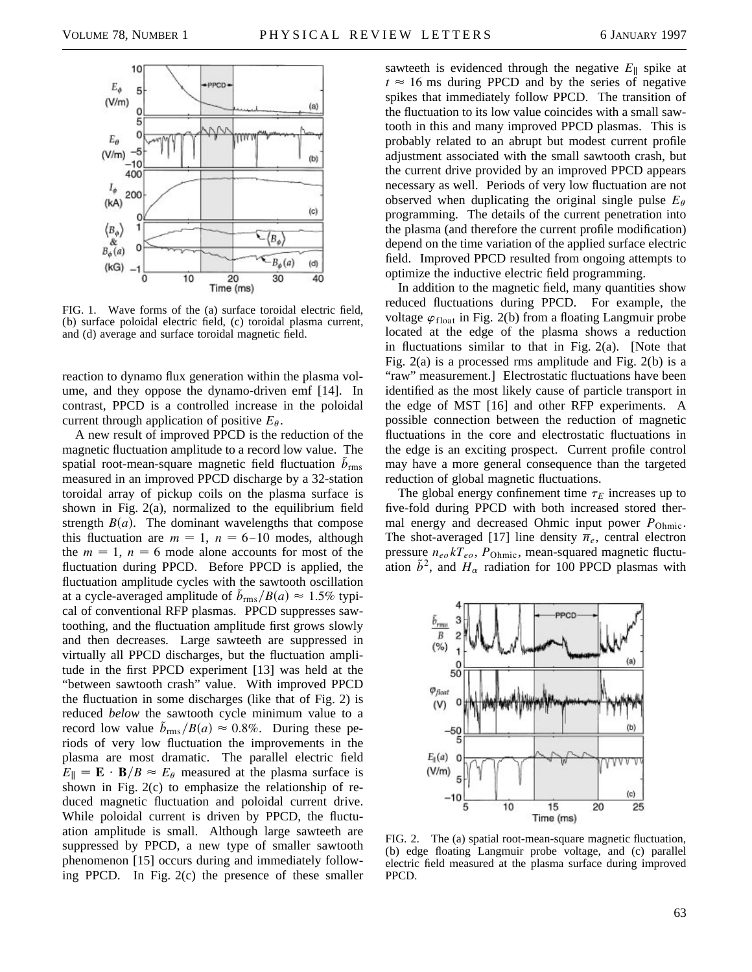

FIG. 1. Wave forms of the (a) surface toroidal electric field, (b) surface poloidal electric field, (c) toroidal plasma current, and (d) average and surface toroidal magnetic field.

reaction to dynamo flux generation within the plasma volume, and they oppose the dynamo-driven emf [14]. In contrast, PPCD is a controlled increase in the poloidal current through application of positive  $E_{\theta}$ .

A new result of improved PPCD is the reduction of the magnetic fluctuation amplitude to a record low value. The spatial root-mean-square magnetic field fluctuation  $\tilde{b}_{\text{rms}}$ measured in an improved PPCD discharge by a 32-station toroidal array of pickup coils on the plasma surface is shown in Fig. 2(a), normalized to the equilibrium field strength  $B(a)$ . The dominant wavelengths that compose this fluctuation are  $m = 1$ ,  $n = 6{\text -}10$  modes, although the  $m = 1$ ,  $n = 6$  mode alone accounts for most of the fluctuation during PPCD. Before PPCD is applied, the fluctuation amplitude cycles with the sawtooth oscillation at a cycle-averaged amplitude of  $\tilde{b}_{\rm rms}/B(a) \approx 1.5\%$  typical of conventional RFP plasmas. PPCD suppresses sawtoothing, and the fluctuation amplitude first grows slowly and then decreases. Large sawteeth are suppressed in virtually all PPCD discharges, but the fluctuation amplitude in the first PPCD experiment [13] was held at the "between sawtooth crash" value. With improved PPCD the fluctuation in some discharges (like that of Fig. 2) is reduced *below* the sawtooth cycle minimum value to a record low value  $\tilde{b}_{\rm rms}/B(a) \approx 0.8\%$ . During these periods of very low fluctuation the improvements in the plasma are most dramatic. The parallel electric field  $E_{\parallel} = \mathbf{E} \cdot \mathbf{B}/B \approx E_{\theta}$  measured at the plasma surface is shown in Fig. 2(c) to emphasize the relationship of reduced magnetic fluctuation and poloidal current drive. While poloidal current is driven by PPCD, the fluctuation amplitude is small. Although large sawteeth are suppressed by PPCD, a new type of smaller sawtooth phenomenon [15] occurs during and immediately following PPCD. In Fig. 2(c) the presence of these smaller

sawteeth is evidenced through the negative  $E_{\parallel}$  spike at  $t \approx 16$  ms during PPCD and by the series of negative spikes that immediately follow PPCD. The transition of the fluctuation to its low value coincides with a small sawtooth in this and many improved PPCD plasmas. This is probably related to an abrupt but modest current profile adjustment associated with the small sawtooth crash, but the current drive provided by an improved PPCD appears necessary as well. Periods of very low fluctuation are not observed when duplicating the original single pulse  $E_{\theta}$ programming. The details of the current penetration into the plasma (and therefore the current profile modification) depend on the time variation of the applied surface electric field. Improved PPCD resulted from ongoing attempts to optimize the inductive electric field programming.

In addition to the magnetic field, many quantities show reduced fluctuations during PPCD. For example, the voltage  $\varphi_{\text{float}}$  in Fig. 2(b) from a floating Langmuir probe located at the edge of the plasma shows a reduction in fluctuations similar to that in Fig. 2(a). [Note that Fig. 2(a) is a processed rms amplitude and Fig. 2(b) is a "raw" measurement.] Electrostatic fluctuations have been identified as the most likely cause of particle transport in the edge of MST [16] and other RFP experiments. A possible connection between the reduction of magnetic fluctuations in the core and electrostatic fluctuations in the edge is an exciting prospect. Current profile control may have a more general consequence than the targeted reduction of global magnetic fluctuations.

The global energy confinement time  $\tau_E$  increases up to five-fold during PPCD with both increased stored thermal energy and decreased Ohmic input power  $P_{Ohmic}$ . The shot-averaged [17] line density  $\overline{n}_e$ , central electron pressure  $n_{eo}kT_{eo}$ ,  $P_{Ohmic}$ , mean-squared magnetic fluctuation  $\tilde{b}^2$ , and  $H_\alpha$  radiation for 100 PPCD plasmas with



FIG. 2. The (a) spatial root-mean-square magnetic fluctuation, (b) edge floating Langmuir probe voltage, and (c) parallel electric field measured at the plasma surface during improved PPCD.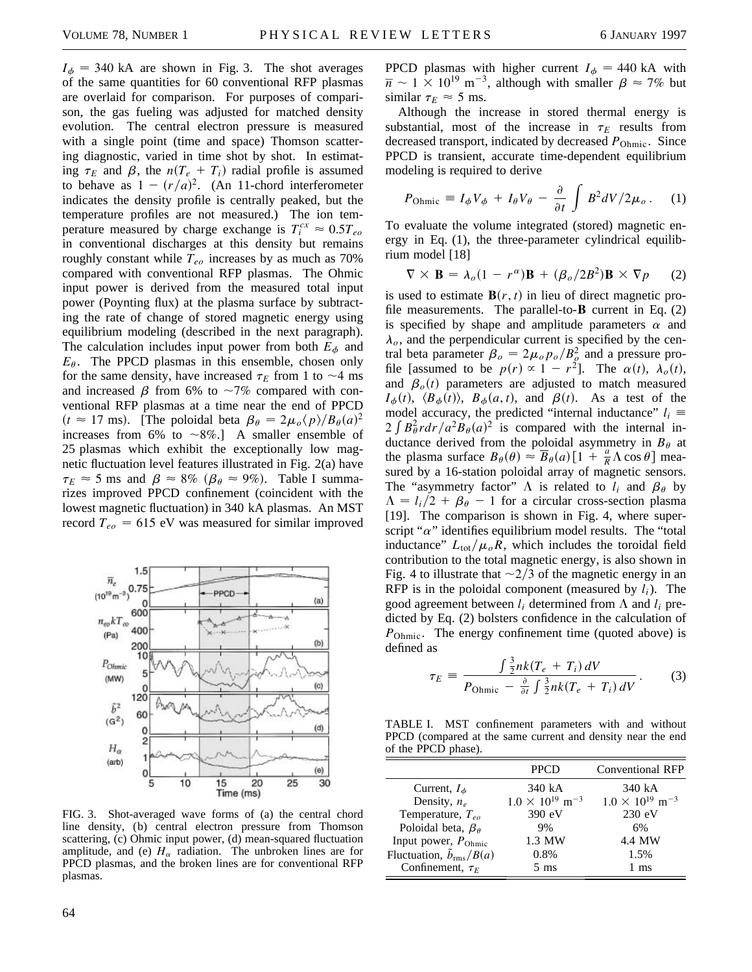$I_{\phi}$  = 340 kA are shown in Fig. 3. The shot averages of the same quantities for 60 conventional RFP plasmas are overlaid for comparison. For purposes of comparison, the gas fueling was adjusted for matched density evolution. The central electron pressure is measured with a single point (time and space) Thomson scattering diagnostic, varied in time shot by shot. In estimating  $\tau_E$  and  $\beta$ , the  $n(T_e + T_i)$  radial profile is assumed to behave as  $1 - (r/a)^2$ . (An 11-chord interferometer indicates the density profile is centrally peaked, but the temperature profiles are not measured.) The ion temperature measured by charge exchange is  $T_i^{cx} \approx 0.5T_{eo}$ in conventional discharges at this density but remains roughly constant while  $T_{eo}$  increases by as much as  $70\%$ compared with conventional RFP plasmas. The Ohmic input power is derived from the measured total input power (Poynting flux) at the plasma surface by subtracting the rate of change of stored magnetic energy using equilibrium modeling (described in the next paragraph). The calculation includes input power from both  $E_{\phi}$  and  $E_{\theta}$ . The PPCD plasmas in this ensemble, chosen only for the same density, have increased  $\tau_E$  from 1 to  $\sim$ 4 ms and increased  $\beta$  from 6% to  $\sim$ 7% compared with conventional RFP plasmas at a time near the end of PPCD  $(t \approx 17 \text{ ms})$ . [The poloidal beta  $\beta_\theta = 2\mu_o \langle p \rangle / B_\theta(a)^2$ increases from 6% to  $\sim$ 8%.] A smaller ensemble of 25 plasmas which exhibit the exceptionally low magnetic fluctuation level features illustrated in Fig. 2(a) have  $\tau_E \approx 5$  ms and  $\beta \approx 8\%$  ( $\beta_\theta \approx 9\%$ ). Table I summarizes improved PPCD confinement (coincident with the lowest magnetic fluctuation) in 340 kA plasmas. An MST record  $T_{eo} = 615$  eV was measured for similar improved



FIG. 3. Shot-averaged wave forms of (a) the central chord line density, (b) central electron pressure from Thomson scattering, (c) Ohmic input power, (d) mean-squared fluctuation amplitude, and (e)  $H_{\alpha}$  radiation. The unbroken lines are for PPCD plasmas, and the broken lines are for conventional RFP plasmas.

PPCD plasmas with higher current  $I_{\phi} = 440$  kA with  $\overline{n} \sim 1 \times 10^{19}$  m<sup>-3</sup>, although with smaller  $\beta \approx 7\%$  but similar  $\tau_F \approx 5$  ms.

Although the increase in stored thermal energy is substantial, most of the increase in  $\tau_E$  results from decreased transport, indicated by decreased *P*Ohmic. Since PPCD is transient, accurate time-dependent equilibrium modeling is required to derive

$$
P_{\text{Ohmic}} = I_{\phi} V_{\phi} + I_{\theta} V_{\theta} - \frac{\partial}{\partial t} \int B^2 dV / 2\mu_o \,. \tag{1}
$$

To evaluate the volume integrated (stored) magnetic energy in Eq. (1), the three-parameter cylindrical equilibrium model [18]

$$
\nabla \times \mathbf{B} = \lambda_o (1 - r^{\alpha}) \mathbf{B} + (\beta_o / 2B^2) \mathbf{B} \times \nabla p \qquad (2)
$$

is used to estimate  $\mathbf{B}(r, t)$  in lieu of direct magnetic profile measurements. The parallel-to-**B** current in Eq. (2) is specified by shape and amplitude parameters  $\alpha$  and  $\lambda$ <sub>o</sub>, and the perpendicular current is specified by the central beta parameter  $\beta_o = 2\mu_o p_o / B_o^2$  and a pressure profile [assumed to be  $p(r) \propto 1 - r^2$ ]. The  $\alpha(t)$ ,  $\lambda_o(t)$ , and  $\beta_o(t)$  parameters are adjusted to match measured  $I_{\phi}(t)$ ,  $\langle B_{\phi}(t) \rangle$ ,  $B_{\phi}(a, t)$ , and  $\beta(t)$ . As a test of the model accuracy, the predicted "internal inductance"  $l_i \equiv$ moder accuracy, the predicted internal inductance  $i_i = 2 \int B_\theta^2 r dr/a^2 B_\theta(a)^2$  is compared with the internal inductance derived from the poloidal asymmetry in  $B_{\theta}$  at the plasma surface  $B_{\theta}(\theta) \approx \overline{B}_{\theta}(a) \left[1 + \frac{a}{R} \Lambda \cos \theta \right]$  measured by a 16-station poloidal array of magnetic sensors. The "asymmetry factor"  $\Lambda$  is related to  $l_i$  and  $\beta_\theta$  by  $\Lambda = l_i/2 + \beta_\theta - 1$  for a circular cross-section plasma [19]. The comparison is shown in Fig. 4, where superscript " $\alpha$ " identifies equilibrium model results. The "total inductance"  $L_{\text{tot}}/\mu_oR$ , which includes the toroidal field contribution to the total magnetic energy, is also shown in Fig. 4 to illustrate that  $\sim$ 2/3 of the magnetic energy in an RFP is in the poloidal component (measured by  $l_i$ ). The good agreement between  $l_i$  determined from  $\Lambda$  and  $l_i$  predicted by Eq. (2) bolsters confidence in the calculation of *P*Ohmic. The energy confinement time (quoted above) is defined as

$$
\tau_E \equiv \frac{\int \frac{3}{2} nk (T_e + T_i) dV}{P_{\text{Ohmic}} - \frac{\partial}{\partial t} \int \frac{3}{2} nk (T_e + T_i) dV}.
$$
 (3)

TABLE I. MST confinement parameters with and without PPCD (compared at the same current and density near the end of the PPCD phase).

|                                         | <b>PPCD</b>                                    | <b>Conventional RFP</b>                        |
|-----------------------------------------|------------------------------------------------|------------------------------------------------|
| Current, $I_{\phi}$<br>Density, $n_e$   | 340 kA<br>$1.0 \times 10^{19}$ m <sup>-3</sup> | 340 kA<br>$1.0 \times 10^{19}$ m <sup>-3</sup> |
| Temperature, $T_{eo}$                   | 390 eV                                         | 230 eV                                         |
| Poloidal beta, $\beta_{\theta}$         | 9%                                             | 6%                                             |
| Input power, $P_{Ohmic}$                | 1.3 MW                                         | 4.4 MW                                         |
| Fluctuation, $\tilde{b}_{\rm rms}/B(a)$ | 0.8%                                           | 1.5%                                           |
| Confinement, $\tau_F$                   | $5 \text{ ms}$                                 | 1 ms                                           |